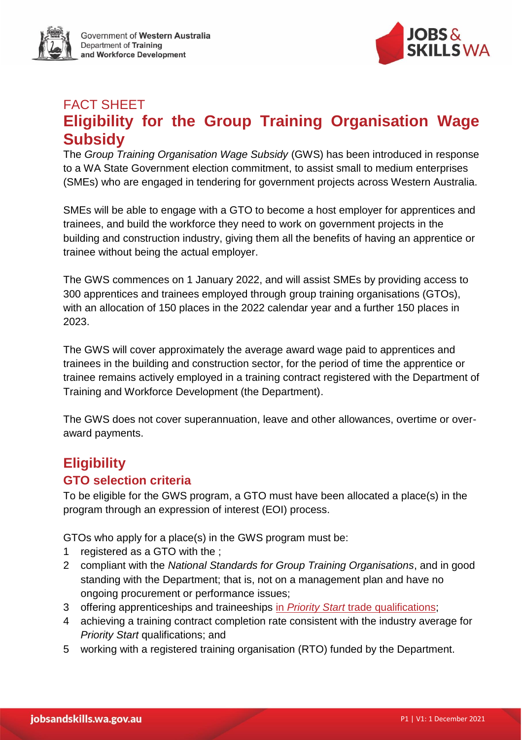Government of Western Australia Department of Training and Workforce Development



# FACT SHEET **Eligibility for the Group Training Organisation Wage Subsidy**

The *Group Training Organisation Wage Subsidy* (GWS) has been introduced in response to a WA State Government election commitment, to assist small to medium enterprises (SMEs) who are engaged in tendering for government projects across Western Australia.

SMEs will be able to engage with a GTO to become a host employer for apprentices and trainees, and build the workforce they need to work on government projects in the building and construction industry, giving them all the benefits of having an apprentice or trainee without being the actual employer.

The GWS commences on 1 January 2022, and will assist SMEs by providing access to 300 apprentices and trainees employed through group training organisations (GTOs), with an allocation of 150 places in the 2022 calendar year and a further 150 places in 2023.

The GWS will cover approximately the average award wage paid to apprentices and trainees in the building and construction sector, for the period of time the apprentice or trainee remains actively employed in a training contract registered with the Department of Training and Workforce Development (the Department).

The GWS does not cover superannuation, leave and other allowances, overtime or overaward payments.

## **Eligibility**

## **GTO selection criteria**

To be eligible for the GWS program, a GTO must have been allocated a place(s) in the program through an expression of interest (EOI) process.

GTOs who apply for a place(s) in the GWS program must be:

- 1 registered as a GTO with the ;
- 2 compliant with the *National Standards for Group Training Organisations*, and in good standing with the Department; that is, not on a management plan and have no ongoing procurement or performance issues;
- 3 offering apprenticeships and traineeships in *Priority Start* [trade qualifications;](https://www.dtwd.wa.gov.au/about-us#priority-start-policy)
- 4 achieving a training contract completion rate consistent with the industry average for *Priority Start* qualifications; and
- 5 working with a registered training organisation (RTO) funded by the Department.